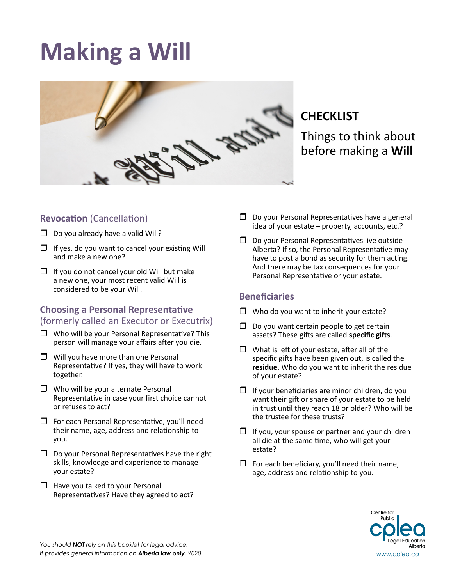# **Making a Will**



# **CHECKLIST**

Things to think about before making a **Will**

# **Revocation** (Cancellation)

- $\square$  Do you already have a valid Will?
- $\Box$  If yes, do you want to cancel your existing Will and make a new one?
- $\Box$  If you do not cancel your old Will but make a new one, your most recent valid Will is considered to be your Will.

## **Choosing a Personal Representative** (formerly called an Executor or Executrix)

- $\Box$  Who will be your Personal Representative? This person will manage your affairs after you die.
- $\Box$  Will you have more than one Personal Representative? If yes, they will have to work together.
- $\Box$  Who will be your alternate Personal Representative in case your first choice cannot or refuses to act?
- $\Box$  For each Personal Representative, you'll need their name, age, address and relationship to you.
- $\Box$  Do your Personal Representatives have the right skills, knowledge and experience to manage your estate?
- $\Box$  Have you talked to your Personal Representatives? Have they agreed to act?
- $\square$  Do your Personal Representatives have a general idea of your estate – property, accounts, etc.?
- $\square$  Do your Personal Representatives live outside Alberta? If so, the Personal Representative may have to post a bond as security for them acting. And there may be tax consequences for your Personal Representative or your estate.

## **Beneficiaries**

- $\Box$  Who do you want to inherit your estate?
- $\Box$  Do you want certain people to get certain assets? These gifts are called **specific gifts**.
- $\Box$  What is left of your estate, after all of the specific gifts have been given out, is called the **residue**. Who do you want to inherit the residue of your estate?
- $\Box$  If your beneficiaries are minor children, do you want their gift or share of your estate to be held in trust until they reach 18 or older? Who will be the trustee for these trusts?
- $\Box$  If you, your spouse or partner and your children all die at the same time, who will get your estate?
- $\Box$  For each beneficiary, you'll need their name, age, address and relationship to you.